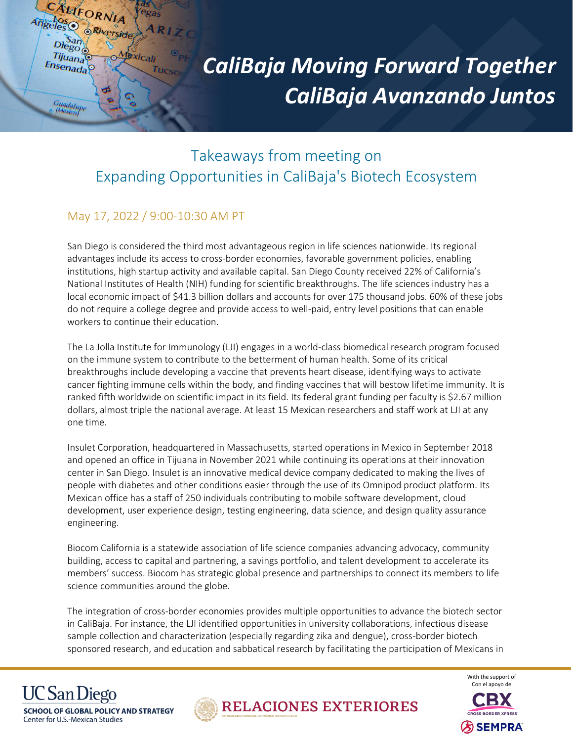

## *CaliBaja Moving Forward Together CaliBaja Avanzando Juntos*

## Takeaways from meeting on Expanding Opportunities in CaliBaja's Biotech Ecosystem

## May 17, 2022 / 9:00-10:30 AM PT

San Diego is considered the third most advantageous region in life sciences nationwide. Its regional advantages include its access to cross-border economies, favorable government policies, enabling institutions, high startup activity and available capital. San Diego County received 22% of California's National Institutes of Health (NIH) funding for scientific breakthroughs. The life sciences industry has a local economic impact of \$41.3 billion dollars and accounts for over 175 thousand jobs. 60% of these jobs do not require a college degree and provide access to well-paid, entry level positions that can enable workers to continue their education.

The La Jolla Institute for Immunology (LJI) engages in a world-class biomedical research program focused on the immune system to contribute to the betterment of human health. Some of its critical breakthroughs include developing a vaccine that prevents heart disease, identifying ways to activate cancer fighting immune cells within the body, and finding vaccines that will bestow lifetime immunity. It is ranked fifth worldwide on scientific impact in its field. Its federal grant funding per faculty is \$2.67 million dollars, almost triple the national average. At least 15 Mexican researchers and staff work at LJI at any one time.

Insulet Corporation, headquartered in Massachusetts, started operations in Mexico in September 2018 and opened an office in Tijuana in November 2021 while continuing its operations at their innovation center in San Diego. Insulet is an innovative medical device company dedicated to making the lives of people with diabetes and other conditions easier through the use of its Omnipod product platform. Its Mexican office has a staff of 250 individuals contributing to mobile software development, cloud development, user experience design, testing engineering, data science, and design quality assurance engineering.

Biocom California is a statewide association of life science companies advancing advocacy, community building, access to capital and partnering, a savings portfolio, and talent development to accelerate its members' success. Biocom has strategic global presence and partnerships to connect its members to life science communities around the globe.

The integration of cross-border economies provides multiple opportunities to advance the biotech sector in CaliBaja. For instance, the LJI identified opportunities in university collaborations, infectious disease sample collection and characterization (especially regarding zika and dengue), cross-border biotech sponsored research, and education and sabbatical research by facilitating the participation of Mexicans in